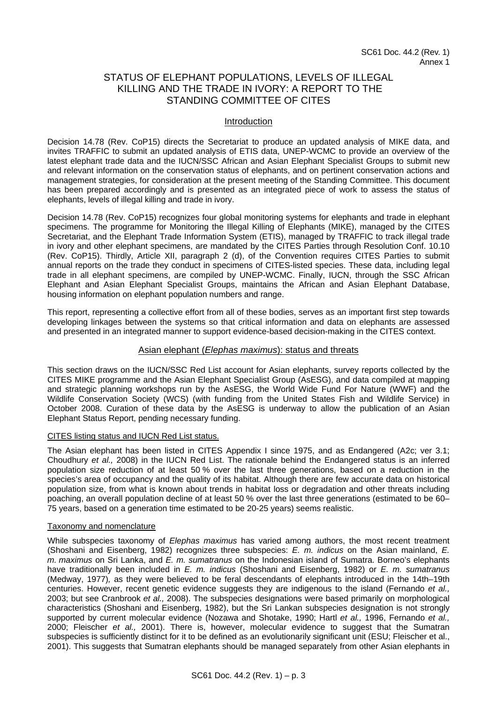# STATUS OF ELEPHANT POPULATIONS, LEVELS OF ILLEGAL KILLING AND THE TRADE IN IVORY: A REPORT TO THE STANDING COMMITTEE OF CITES

## Introduction

Decision 14.78 (Rev. CoP15) directs the Secretariat to produce an updated analysis of MIKE data, and invites TRAFFIC to submit an updated analysis of ETIS data, UNEP-WCMC to provide an overview of the latest elephant trade data and the IUCN/SSC African and Asian Elephant Specialist Groups to submit new and relevant information on the conservation status of elephants, and on pertinent conservation actions and management strategies, for consideration at the present meeting of the Standing Committee. This document has been prepared accordingly and is presented as an integrated piece of work to assess the status of elephants, levels of illegal killing and trade in ivory.

Decision 14.78 (Rev. CoP15) recognizes four global monitoring systems for elephants and trade in elephant specimens. The programme for Monitoring the Illegal Killing of Elephants (MIKE), managed by the CITES Secretariat, and the Elephant Trade Information System (ETIS), managed by TRAFFIC to track illegal trade in ivory and other elephant specimens, are mandated by the CITES Parties through Resolution Conf. 10.10 (Rev. CoP15). Thirdly, Article XII, paragraph 2 (d), of the Convention requires CITES Parties to submit annual reports on the trade they conduct in specimens of CITES-listed species. These data, including legal trade in all elephant specimens, are compiled by UNEP-WCMC. Finally, IUCN, through the SSC African Elephant and Asian Elephant Specialist Groups, maintains the African and Asian Elephant Database, housing information on elephant population numbers and range.

This report, representing a collective effort from all of these bodies, serves as an important first step towards developing linkages between the systems so that critical information and data on elephants are assessed and presented in an integrated manner to support evidence-based decision-making in the CITES context.

## Asian elephant (*Elephas maximus*): status and threats

This section draws on the IUCN/SSC Red List account for Asian elephants, survey reports collected by the CITES MIKE programme and the Asian Elephant Specialist Group (AsESG), and data compiled at mapping and strategic planning workshops run by the AsESG, the World Wide Fund For Nature (WWF) and the Wildlife Conservation Society (WCS) (with funding from the United States Fish and Wildlife Service) in October 2008. Curation of these data by the AsESG is underway to allow the publication of an Asian Elephant Status Report, pending necessary funding.

## CITES listing status and IUCN Red List status.

The Asian elephant has been listed in CITES Appendix I since 1975, and as Endangered (A2c; ver 3.1; Choudhury *et al.,* 2008) in the IUCN Red List. The rationale behind the Endangered status is an inferred population size reduction of at least 50 % over the last three generations, based on a reduction in the species's area of occupancy and the quality of its habitat. Although there are few accurate data on historical population size, from what is known about trends in habitat loss or degradation and other threats including poaching, an overall population decline of at least 50 % over the last three generations (estimated to be 60– 75 years, based on a generation time estimated to be 20-25 years) seems realistic.

## Taxonomy and nomenclature

While subspecies taxonomy of *Elephas maximus* has varied among authors, the most recent treatment (Shoshani and Eisenberg, 1982) recognizes three subspecies: *E. m. indicus* on the Asian mainland, *E. m. maximus* on Sri Lanka, and *E. m. sumatranus* on the Indonesian island of Sumatra. Borneo's elephants have traditionally been included in *E. m. indicus* (Shoshani and Eisenberg, 1982) or *E. m. sumatranus* (Medway, 1977)*,* as they were believed to be feral descendants of elephants introduced in the 14th–19th centuries. However, recent genetic evidence suggests they are indigenous to the island (Fernando *et al.,* 2003; but see Cranbrook *et al.,* 2008). The subspecies designations were based primarily on morphological characteristics (Shoshani and Eisenberg, 1982), but the Sri Lankan subspecies designation is not strongly supported by current molecular evidence (Nozawa and Shotake, 1990; Hartl *et al.,* 1996, Fernando *et al.,* 2000; Fleischer *et al.,* 2001). There is, however, molecular evidence to suggest that the Sumatran subspecies is sufficiently distinct for it to be defined as an evolutionarily significant unit (ESU; Fleischer et al., 2001). This suggests that Sumatran elephants should be managed separately from other Asian elephants in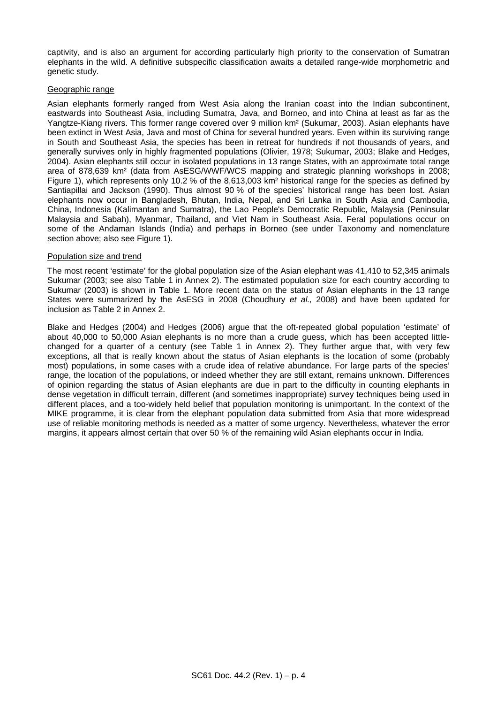captivity, and is also an argument for according particularly high priority to the conservation of Sumatran elephants in the wild. A definitive subspecific classification awaits a detailed range-wide morphometric and genetic study.

### Geographic range

Asian elephants formerly ranged from West Asia along the Iranian coast into the Indian subcontinent, eastwards into Southeast Asia, including Sumatra, Java, and Borneo, and into China at least as far as the Yangtze-Kiang rivers. This former range covered over 9 million km² (Sukumar, 2003). Asian elephants have been extinct in West Asia, Java and most of China for several hundred years. Even within its surviving range in South and Southeast Asia, the species has been in retreat for hundreds if not thousands of years, and generally survives only in highly fragmented populations (Olivier, 1978; Sukumar, 2003; Blake and Hedges, 2004). Asian elephants still occur in isolated populations in 13 range States, with an approximate total range area of 878,639 km² (data from AsESG/WWF/WCS mapping and strategic planning workshops in 2008; [Figure 1\)](#page-2-0), which represents only 10.2 % of the 8,613,003 km<sup>2</sup> historical range for the species as defined by Santiapillai and Jackson (1990). Thus almost 90 % of the species' historical range has been lost. Asian elephants now occur in Bangladesh, Bhutan, India, Nepal, and Sri Lanka in South Asia and Cambodia, China, Indonesia (Kalimantan and Sumatra), the Lao People's Democratic Republic, Malaysia (Peninsular Malaysia and Sabah), Myanmar, Thailand, and Viet Nam in Southeast Asia. Feral populations occur on some of the Andaman Islands (India) and perhaps in Borneo (see under Taxonomy and nomenclature section above; also see [Figure 1\)](#page-2-0).

### Population size and trend

The most recent 'estimate' for the global population size of the Asian elephant was 41,410 to 52,345 animals Sukumar (2003; see also Table 1 in Annex 2). The estimated population size for each country according to Sukumar (2003) is shown in [Table 1.](#page-2-1) More recent data on the status of Asian elephants in the 13 range States were summarized by the AsESG in 2008 (Choudhury *et al.,* 2008) and have been updated for inclusion as Table 2 in Annex 2.

Blake and Hedges (2004) and Hedges (2006) argue that the oft-repeated global population 'estimate' of about 40,000 to 50,000 Asian elephants is no more than a crude guess, which has been accepted littlechanged for a quarter of a century (see Table 1 in Annex 2). They further argue that, with very few exceptions, all that is really known about the status of Asian elephants is the location of some (probably most) populations, in some cases with a crude idea of relative abundance. For large parts of the species' range, the location of the populations, or indeed whether they are still extant, remains unknown. Differences of opinion regarding the status of Asian elephants are due in part to the difficulty in counting elephants in dense vegetation in difficult terrain, different (and sometimes inappropriate) survey techniques being used in different places, and a too-widely held belief that population monitoring is unimportant. In the context of the MIKE programme, it is clear from the elephant population data submitted from Asia that more widespread use of reliable monitoring methods is needed as a matter of some urgency. Nevertheless, whatever the error margins, it appears almost certain that over 50 % of the remaining wild Asian elephants occur in India.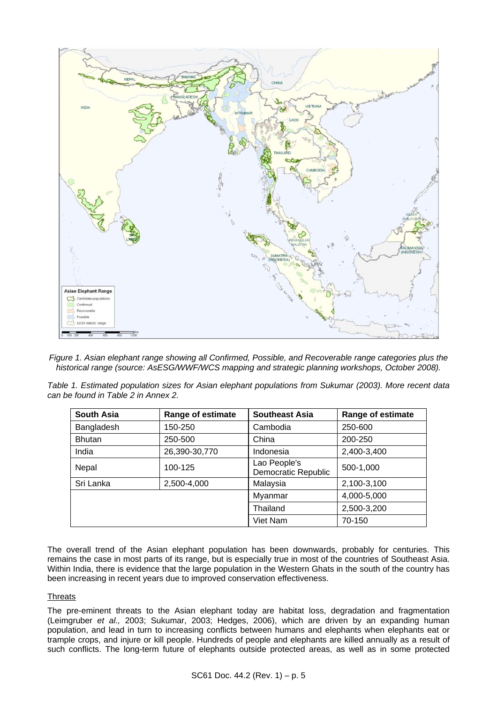

<span id="page-2-0"></span>*Figure 1. Asian elephant range showing all Confirmed, Possible, and Recoverable range categories plus the historical range (source: AsESG/WWF/WCS mapping and strategic planning workshops, October 2008).* 

<span id="page-2-1"></span>*Table 1. Estimated population sizes for Asian elephant populations from Sukumar (2003). More recent data can be found in Table 2 in Annex 2.* 

| <b>South Asia</b> | <b>Range of estimate</b> | <b>Southeast Asia</b>               | Range of estimate |
|-------------------|--------------------------|-------------------------------------|-------------------|
| Bangladesh        | 150-250                  | Cambodia                            | 250-600           |
| <b>Bhutan</b>     | 250-500                  | China                               | 200-250           |
| India             | 26,390-30,770            | Indonesia                           | 2,400-3,400       |
| Nepal             | 100-125                  | Lao People's<br>Democratic Republic | 500-1,000         |
| Sri Lanka         | 2,500-4,000              | Malaysia                            | 2,100-3,100       |
|                   |                          | Myanmar                             | 4,000-5,000       |
|                   |                          | Thailand                            | 2,500-3,200       |
|                   |                          | Viet Nam                            | 70-150            |

The overall trend of the Asian elephant population has been downwards, probably for centuries. This remains the case in most parts of its range, but is especially true in most of the countries of Southeast Asia. Within India, there is evidence that the large population in the Western Ghats in the south of the country has been increasing in recent years due to improved conservation effectiveness.

## **Threats**

The pre-eminent threats to the Asian elephant today are habitat loss, degradation and fragmentation (Leimgruber *et al.,* 2003; Sukumar, 2003; Hedges, 2006), which are driven by an expanding human population, and lead in turn to increasing conflicts between humans and elephants when elephants eat or trample crops, and injure or kill people. Hundreds of people and elephants are killed annually as a result of such conflicts. The long-term future of elephants outside protected areas, as well as in some protected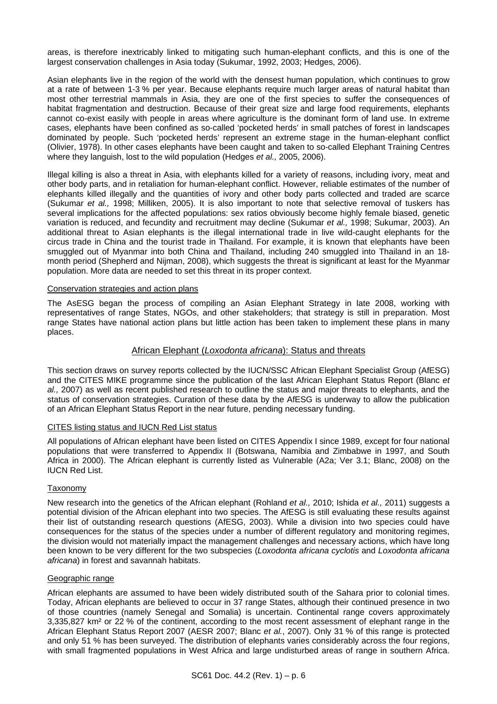areas, is therefore inextricably linked to mitigating such human-elephant conflicts, and this is one of the largest conservation challenges in Asia today (Sukumar, 1992, 2003; Hedges, 2006).

Asian elephants live in the region of the world with the densest human population, which continues to grow at a rate of between 1-3 % per year. Because elephants require much larger areas of natural habitat than most other terrestrial mammals in Asia, they are one of the first species to suffer the consequences of habitat fragmentation and destruction. Because of their great size and large food requirements, elephants cannot co-exist easily with people in areas where agriculture is the dominant form of land use. In extreme cases, elephants have been confined as so-called 'pocketed herds' in small patches of forest in landscapes dominated by people. Such 'pocketed herds' represent an extreme stage in the human-elephant conflict (Olivier, 1978). In other cases elephants have been caught and taken to so-called Elephant Training Centres where they languish, lost to the wild population (Hedges *et al.,* 2005, 2006).

Illegal killing is also a threat in Asia, with elephants killed for a variety of reasons, including ivory, meat and other body parts, and in retaliation for human-elephant conflict. However, reliable estimates of the number of elephants killed illegally and the quantities of ivory and other body parts collected and traded are scarce (Sukumar *et al.,* 1998; Milliken, 2005). It is also important to note that selective removal of tuskers has several implications for the affected populations: sex ratios obviously become highly female biased, genetic variation is reduced, and fecundity and recruitment may decline (Sukumar *et al.,* 1998; Sukumar, 2003). An additional threat to Asian elephants is the illegal international trade in live wild-caught elephants for the circus trade in China and the tourist trade in Thailand. For example, it is known that elephants have been smuggled out of Myanmar into both China and Thailand, including 240 smuggled into Thailand in an 18 month period (Shepherd and Nijman, 2008), which suggests the threat is significant at least for the Myanmar population. More data are needed to set this threat in its proper context.

### Conservation strategies and action plans

The AsESG began the process of compiling an Asian Elephant Strategy in late 2008, working with representatives of range States, NGOs, and other stakeholders; that strategy is still in preparation. Most range States have national action plans but little action has been taken to implement these plans in many places.

## African Elephant (*Loxodonta africana*): Status and threats

This section draws on survey reports collected by the IUCN/SSC African Elephant Specialist Group (AfESG) and the CITES MIKE programme since the publication of the last African Elephant Status Report (Blanc *et al.,* 2007) as well as recent published research to outline the status and major threats to elephants, and the status of conservation strategies. Curation of these data by the AfESG is underway to allow the publication of an African Elephant Status Report in the near future, pending necessary funding.

### CITES listing status and IUCN Red List status

All populations of African elephant have been listed on CITES Appendix I since 1989, except for four national populations that were transferred to Appendix II (Botswana, Namibia and Zimbabwe in 1997, and South Africa in 2000). The African elephant is currently listed as Vulnerable (A2a; Ver 3.1; Blanc, 2008) on the IUCN Red List.

## **Taxonomy**

New research into the genetics of the African elephant (Rohland *et al.,* 2010; Ishida *et al.,* 2011) suggests a potential division of the African elephant into two species. The AfESG is still evaluating these results against their list of outstanding research questions (AfESG, 2003). While a division into two species could have consequences for the status of the species under a number of different regulatory and monitoring regimes, the division would not materially impact the management challenges and necessary actions, which have long been known to be very different for the two subspecies (*Loxodonta africana cyclotis* and *Loxodonta africana africana*) in forest and savannah habitats.

## Geographic range

African elephants are assumed to have been widely distributed south of the Sahara prior to colonial times. Today, African elephants are believed to occur in 37 range States, although their continued presence in two of those countries (namely Senegal and Somalia) is uncertain. Continental range covers approximately 3,335,827 km² or 22 % of the continent, according to the most recent assessment of elephant range in the African Elephant Status Report 2007 (AESR 2007; Blanc *et al.*, 2007). Only 31 % of this range is protected and only 51 % has been surveyed. The distribution of elephants varies considerably across the four regions, with small fragmented populations in West Africa and large undisturbed areas of range in southern Africa.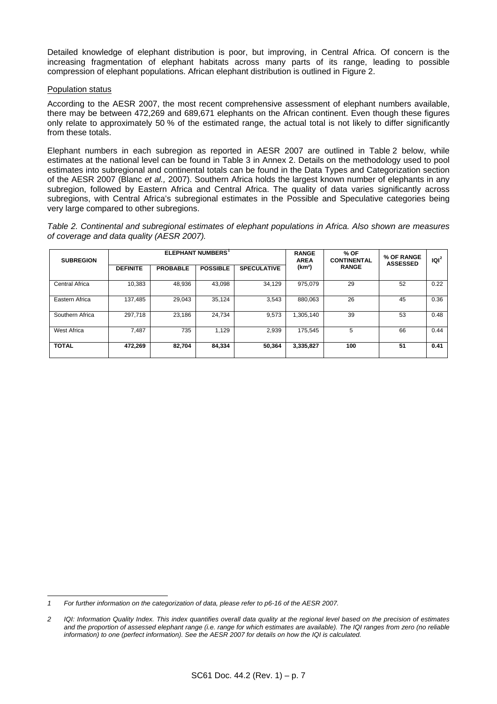Detailed knowledge of elephant distribution is poor, but improving, in Central Africa. Of concern is the increasing fragmentation of elephant habitats across many parts of its range, leading to possible compression of elephant populations. African elephant distribution is outlined in [Figure 2](#page-5-0).

### Population status

According to the AESR 2007, the most recent comprehensive assessment of elephant numbers available, there may be between 472,269 and 689,671 elephants on the African continent. Even though these figures only relate to approximately 50 % of the estimated range, the actual total is not likely to differ significantly from these totals.

Elephant numbers in each subregion as reported in AESR 2007 are outlined in Table 2 below, while estimates at the national level can be found in Table 3 in Annex 2. Details on the methodology used to pool estimates into subregional and continental totals can be found in the Data Types and Categorization section of the AESR 2007 (Blanc *et al.,* 2007). Southern Africa holds the largest known number of elephants in any subregion, followed by Eastern Africa and Central Africa. The quality of data varies significantly across subregions, with Central Africa's subregional estimates in the Possible and Speculative categories being very large compared to other subregions.

*Table 2. Continental and subregional estimates of elephant populations in Africa. Also shown are measures of coverage and data quality (AESR 2007).* 

| <b>SUBREGION</b>      | <b>ELEPHANT NUMBERS</b> <sup>1</sup> |                 |                 | <b>RANGE</b><br><b>AREA</b> | % OF<br><b>CONTINENTAL</b> | % OF RANGE<br><b>ASSESSED</b> | $ Q ^2$ |      |
|-----------------------|--------------------------------------|-----------------|-----------------|-----------------------------|----------------------------|-------------------------------|---------|------|
|                       | <b>DEFINITE</b>                      | <b>PROBABLE</b> | <b>POSSIBLE</b> | <b>SPECULATIVE</b>          | (km <sup>2</sup> )         | <b>RANGE</b>                  |         |      |
| <b>Central Africa</b> | 10.383                               | 48,936          | 43,098          | 34,129                      | 975.079                    | 29                            | 52      | 0.22 |
| Eastern Africa        | 137,485                              | 29,043          | 35.124          | 3,543                       | 880.063                    | 26                            | 45      | 0.36 |
| Southern Africa       | 297,718                              | 23,186          | 24,734          | 9,573                       | 1,305,140                  | 39                            | 53      | 0.48 |
| <b>West Africa</b>    | 7,487                                | 735             | 1,129           | 2,939                       | 175,545                    | 5                             | 66      | 0.44 |
| <b>TOTAL</b>          | 472,269                              | 82.704          | 84,334          | 50,364                      | 3,335,827                  | 100                           | 51      | 0.41 |

<span id="page-4-0"></span>l *1 For further information on the categorization of data, please refer to p6-16 of the AESR 2007.* 

<span id="page-4-1"></span>*<sup>2</sup> IQI: Information Quality Index. This index quantifies overall data quality at the regional level based on the precision of estimates and the proportion of assessed elephant range (i.e. range for which estimates are available). The IQI ranges from zero (no reliable information) to one (perfect information). See the AESR 2007 for details on how the IQI is calculated.*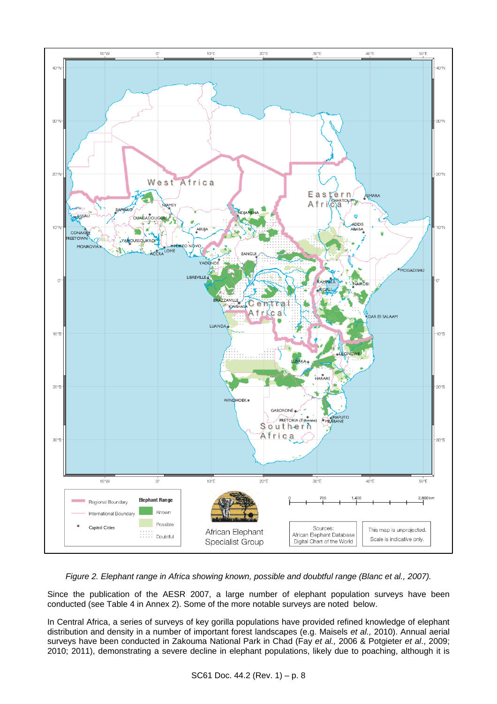

*Figure 2. Elephant range in Africa showing known, possible and doubtful range (Blanc et al., 2007).*

<span id="page-5-0"></span>Since the publication of the AESR 2007, a large number of elephant population surveys have been conducted (see Table 4 in Annex 2). Some of the more notable surveys are noted below.

In Central Africa, a series of surveys of key gorilla populations have provided refined knowledge of elephant distribution and density in a number of important forest landscapes (e.g. Maisels *et al.,* 2010). Annual aerial surveys have been conducted in Zakouma National Park in Chad (Fay *et al.,* 2006 & Potgieter *et al*., 2009; 2010; 2011), demonstrating a severe decline in elephant populations, likely due to poaching, although it is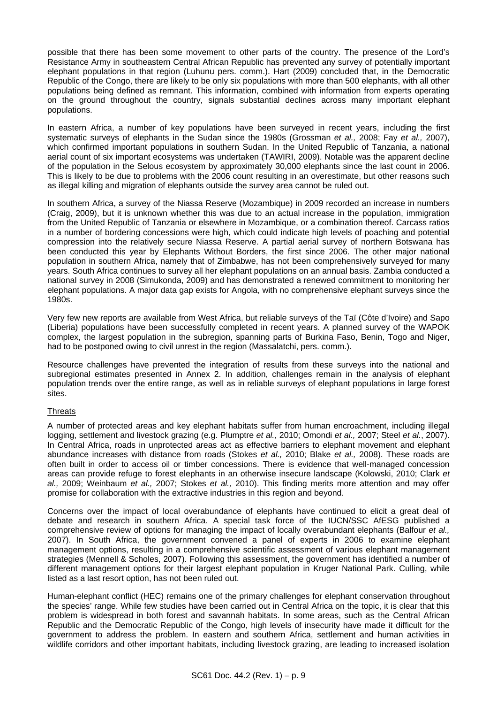possible that there has been some movement to other parts of the country. The presence of the Lord's Resistance Army in southeastern Central African Republic has prevented any survey of potentially important elephant populations in that region (Luhunu pers. comm.). Hart (2009) concluded that, in the Democratic Republic of the Congo, there are likely to be only six populations with more than 500 elephants, with all other populations being defined as remnant. This information, combined with information from experts operating on the ground throughout the country, signals substantial declines across many important elephant populations.

In eastern Africa, a number of key populations have been surveyed in recent years, including the first systematic surveys of elephants in the Sudan since the 1980s (Grossman *et al.,* 2008; Fay *et al.,* 2007), which confirmed important populations in southern Sudan. In the United Republic of Tanzania, a national aerial count of six important ecosystems was undertaken (TAWIRI, 2009). Notable was the apparent decline of the population in the Selous ecosystem by approximately 30,000 elephants since the last count in 2006. This is likely to be due to problems with the 2006 count resulting in an overestimate, but other reasons such as illegal killing and migration of elephants outside the survey area cannot be ruled out.

In southern Africa, a survey of the Niassa Reserve (Mozambique) in 2009 recorded an increase in numbers (Craig, 2009), but it is unknown whether this was due to an actual increase in the population, immigration from the United Republic of Tanzania or elsewhere in Mozambique, or a combination thereof. Carcass ratios in a number of bordering concessions were high, which could indicate high levels of poaching and potential compression into the relatively secure Niassa Reserve. A partial aerial survey of northern Botswana has been conducted this year by Elephants Without Borders, the first since 2006. The other major national population in southern Africa, namely that of Zimbabwe, has not been comprehensively surveyed for many years. South Africa continues to survey all her elephant populations on an annual basis. Zambia conducted a national survey in 2008 (Simukonda, 2009) and has demonstrated a renewed commitment to monitoring her elephant populations. A major data gap exists for Angola, with no comprehensive elephant surveys since the 1980s.

Very few new reports are available from West Africa, but reliable surveys of the Taï (Côte d'Ivoire) and Sapo (Liberia) populations have been successfully completed in recent years. A planned survey of the WAPOK complex, the largest population in the subregion, spanning parts of Burkina Faso, Benin, Togo and Niger, had to be postponed owing to civil unrest in the region (Massalatchi, pers. comm.).

Resource challenges have prevented the integration of results from these surveys into the national and subregional estimates presented in Annex 2. In addition, challenges remain in the analysis of elephant population trends over the entire range, as well as in reliable surveys of elephant populations in large forest sites.

## **Threats**

A number of protected areas and key elephant habitats suffer from human encroachment, including illegal logging, settlement and livestock grazing (e.g. Plumptre *et al.,* 2010; Omondi *et al.,* 2007; Steel *et al.*, 2007). In Central Africa, roads in unprotected areas act as effective barriers to elephant movement and elephant abundance increases with distance from roads (Stokes *et al.,* 2010; Blake *et al.,* 2008). These roads are often built in order to access oil or timber concessions. There is evidence that well-managed concession areas can provide refuge to forest elephants in an otherwise insecure landscape (Kolowski, 2010; Clark *et al.,* 2009; Weinbaum *et al.,* 2007; Stokes *et al.,* 2010). This finding merits more attention and may offer promise for collaboration with the extractive industries in this region and beyond.

Concerns over the impact of local overabundance of elephants have continued to elicit a great deal of debate and research in southern Africa. A special task force of the IUCN/SSC AfESG published a comprehensive review of options for managing the impact of locally overabundant elephants (Balfour *et al.,* 2007). In South Africa, the government convened a panel of experts in 2006 to examine elephant management options, resulting in a comprehensive scientific assessment of various elephant management strategies (Mennell & Scholes, 2007). Following this assessment, the government has identified a number of different management options for their largest elephant population in Kruger National Park. Culling, while listed as a last resort option, has not been ruled out.

Human-elephant conflict (HEC) remains one of the primary challenges for elephant conservation throughout the species' range. While few studies have been carried out in Central Africa on the topic, it is clear that this problem is widespread in both forest and savannah habitats. In some areas, such as the Central African Republic and the Democratic Republic of the Congo, high levels of insecurity have made it difficult for the government to address the problem. In eastern and southern Africa, settlement and human activities in wildlife corridors and other important habitats, including livestock grazing, are leading to increased isolation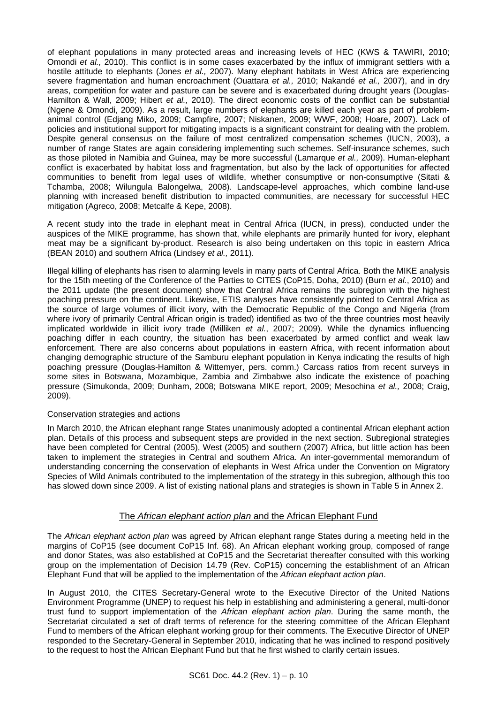of elephant populations in many protected areas and increasing levels of HEC (KWS & TAWIRI, 2010; Omondi *et al.,* 2010). This conflict is in some cases exacerbated by the influx of immigrant settlers with a hostile attitude to elephants (Jones *et al.,* 2007). Many elephant habitats in West Africa are experiencing severe fragmentation and human encroachment (Ouattara *et al.,* 2010; Nakandé *et al.,* 2007), and in dry areas, competition for water and pasture can be severe and is exacerbated during drought years (Douglas-Hamilton & Wall, 2009; Hibert *et al.,* 2010). The direct economic costs of the conflict can be substantial (Ngene & Omondi, 2009). As a result, large numbers of elephants are killed each year as part of problemanimal control (Edjang Miko, 2009; Campfire, 2007; Niskanen, 2009; WWF, 2008; Hoare, 2007). Lack of policies and institutional support for mitigating impacts is a significant constraint for dealing with the problem. Despite general consensus on the failure of most centralized compensation schemes (IUCN, 2003), a number of range States are again considering implementing such schemes. Self-insurance schemes, such as those piloted in Namibia and Guinea, may be more successful (Lamarque *et al.,* 2009). Human-elephant conflict is exacerbated by habitat loss and fragmentation, but also by the lack of opportunities for affected communities to benefit from legal uses of wildlife, whether consumptive or non-consumptive (Sitati & Tchamba, 2008; Wilungula Balongelwa, 2008). Landscape-level approaches, which combine land-use planning with increased benefit distribution to impacted communities, are necessary for successful HEC mitigation (Agreco, 2008; Metcalfe & Kepe, 2008).

A recent study into the trade in elephant meat in Central Africa (IUCN, in press), conducted under the auspices of the MIKE programme, has shown that, while elephants are primarily hunted for ivory, elephant meat may be a significant by-product. Research is also being undertaken on this topic in eastern Africa (BEAN 2010) and southern Africa (Lindsey *et al.,* 2011).

Illegal killing of elephants has risen to alarming levels in many parts of Central Africa. Both the MIKE analysis for the 15th meeting of the Conference of the Parties to CITES (CoP15, Doha, 2010) (Burn *et al.*, 2010) and the 2011 update (the present document) show that Central Africa remains the subregion with the highest poaching pressure on the continent. Likewise, ETIS analyses have consistently pointed to Central Africa as the source of large volumes of illicit ivory, with the Democratic Republic of the Congo and Nigeria (from where ivory of primarily Central African origin is traded) identified as two of the three countries most heavily implicated worldwide in illicit ivory trade (Milliken *et al.*, 2007; 2009). While the dynamics influencing poaching differ in each country, the situation has been exacerbated by armed conflict and weak law enforcement. There are also concerns about populations in eastern Africa, with recent information about changing demographic structure of the Samburu elephant population in Kenya indicating the results of high poaching pressure (Douglas-Hamilton & Wittemyer, pers. comm.) Carcass ratios from recent surveys in some sites in Botswana, Mozambique, Zambia and Zimbabwe also indicate the existence of poaching pressure (Simukonda, 2009; Dunham, 2008; Botswana MIKE report, 2009; Mesochina *et al.,* 2008; Craig, 2009).

### Conservation strategies and actions

In March 2010, the African elephant range States unanimously adopted a continental African elephant action plan. Details of this process and subsequent steps are provided in the next section. Subregional strategies have been completed for Central (2005), West (2005) and southern (2007) Africa, but little action has been taken to implement the strategies in Central and southern Africa. An inter-governmental memorandum of understanding concerning the conservation of elephants in West Africa under the Convention on Migratory Species of Wild Animals contributed to the implementation of the strategy in this subregion, although this too has slowed down since 2009. A list of existing national plans and strategies is shown in Table 5 in Annex 2.

## The *African elephant action plan* and the African Elephant Fund

The *African elephant action plan* was agreed by African elephant range States during a meeting held in the margins of CoP15 (see document CoP15 Inf. 68). An African elephant working group, composed of range and donor States, was also established at CoP15 and the Secretariat thereafter consulted with this working group on the implementation of Decision 14.79 (Rev. CoP15) concerning the establishment of an African Elephant Fund that will be applied to the implementation of the *African elephant action plan*.

In August 2010, the CITES Secretary-General wrote to the Executive Director of the United Nations Environment Programme (UNEP) to request his help in establishing and administering a general, multi-donor trust fund to support implementation of the *African elephant action plan*. During the same month, the Secretariat circulated a set of draft terms of reference for the steering committee of the African Elephant Fund to members of the African elephant working group for their comments. The Executive Director of UNEP responded to the Secretary-General in September 2010, indicating that he was inclined to respond positively to the request to host the African Elephant Fund but that he first wished to clarify certain issues.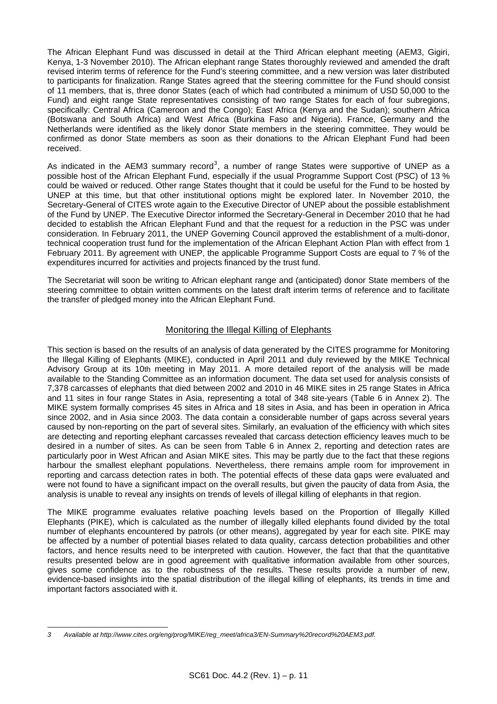The African Elephant Fund was discussed in detail at the Third African elephant meeting (AEM3, Gigiri, Kenya, 1-3 November 2010). The African elephant range States thoroughly reviewed and amended the draft revised interim terms of reference for the Fund's steering committee, and a new version was later distributed to participants for finalization. Range States agreed that the steering committee for the Fund should consist of 11 members, that is, three donor States (each of which had contributed a minimum of USD 50,000 to the Fund) and eight range State representatives consisting of two range States for each of four subregions, specifically: Central Africa (Cameroon and the Congo); East Africa (Kenya and the Sudan); southern Africa (Botswana and South Africa) and West Africa (Burkina Faso and Nigeria). France, Germany and the Netherlands were identified as the likely donor State members in the steering committee. They would be confirmed as donor State members as soon as their donations to the African Elephant Fund had been received.

As indicated in the AEM[3](#page-8-0) summary record<sup>3</sup>, a number of range States were supportive of UNEP as a possible host of the African Elephant Fund, especially if the usual Programme Support Cost (PSC) of 13 % could be waived or reduced. Other range States thought that it could be useful for the Fund to be hosted by UNEP at this time, but that other institutional options might be explored later. In November 2010, the Secretary-General of CITES wrote again to the Executive Director of UNEP about the possible establishment of the Fund by UNEP. The Executive Director informed the Secretary-General in December 2010 that he had decided to establish the African Elephant Fund and that the request for a reduction in the PSC was under consideration. In February 2011, the UNEP Governing Council approved the establishment of a multi-donor, technical cooperation trust fund for the implementation of the African Elephant Action Plan with effect from 1 February 2011. By agreement with UNEP, the applicable Programme Support Costs are equal to 7 % of the expenditures incurred for activities and projects financed by the trust fund.

The Secretariat will soon be writing to African elephant range and (anticipated) donor State members of the steering committee to obtain written comments on the latest draft interim terms of reference and to facilitate the transfer of pledged money into the African Elephant Fund.

## Monitoring the Illegal Killing of Elephants

This section is based on the results of an analysis of data generated by the CITES programme for Monitoring the Illegal Killing of Elephants (MIKE), conducted in April 2011 and duly reviewed by the MIKE Technical Advisory Group at its 10th meeting in May 2011. A more detailed report of the analysis will be made available to the Standing Committee as an information document. The data set used for analysis consists of 7,378 carcasses of elephants that died between 2002 and 2010 in 46 MIKE sites in 25 range States in Africa and 11 sites in four range States in Asia, representing a total of 348 site-years (Table 6 in Annex 2). The MIKE system formally comprises 45 sites in Africa and 18 sites in Asia, and has been in operation in Africa since 2002, and in Asia since 2003. The data contain a considerable number of gaps across several years caused by non-reporting on the part of several sites. Similarly, an evaluation of the efficiency with which sites are detecting and reporting elephant carcasses revealed that carcass detection efficiency leaves much to be desired in a number of sites. As can be seen from Table 6 in Annex 2, reporting and detection rates are particularly poor in West African and Asian MIKE sites. This may be partly due to the fact that these regions harbour the smallest elephant populations. Nevertheless, there remains ample room for improvement in reporting and carcass detection rates in both. The potential effects of these data gaps were evaluated and were not found to have a significant impact on the overall results, but given the paucity of data from Asia, the analysis is unable to reveal any insights on trends of levels of illegal killing of elephants in that region.

The MIKE programme evaluates relative poaching levels based on the Proportion of Illegally Killed Elephants (PIKE), which is calculated as the number of illegally killed elephants found divided by the total number of elephants encountered by patrols (or other means), aggregated by year for each site. PIKE may be affected by a number of potential biases related to data quality, carcass detection probabilities and other factors, and hence results need to be interpreted with caution. However, the fact that that the quantitative results presented below are in good agreement with qualitative information available from other sources, gives some confidence as to the robustness of the results. These results provide a number of new, evidence-based insights into the spatial distribution of the illegal killing of elephants, its trends in time and important factors associated with it.

<span id="page-8-0"></span>l *3 Available at [http://www.cites.org/eng/prog/MIKE/reg\\_meet/africa3/EN-Summary%20record%20AEM3.pdf.](http://www.cites.org/eng/prog/MIKE/reg_meet/africa3/EN-Summary%20record%20AEM3.pdf)*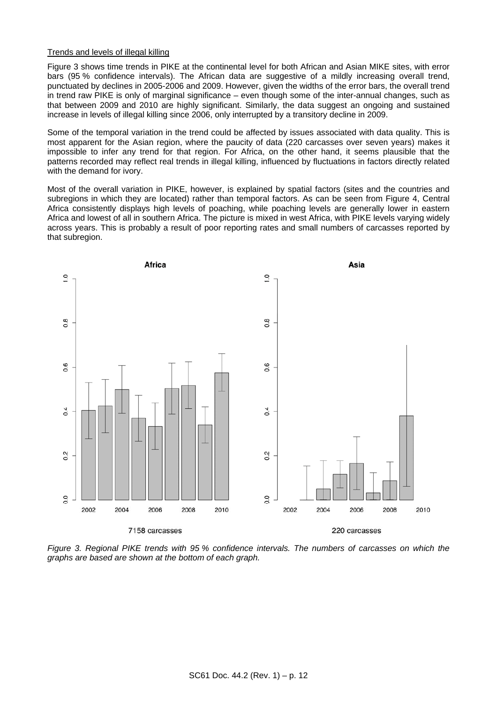### Trends and levels of illegal killing

[Figure 3](#page-9-0) shows time trends in PIKE at the continental level for both African and Asian MIKE sites, with error bars (95 % confidence intervals). The African data are suggestive of a mildly increasing overall trend, punctuated by declines in 2005-2006 and 2009. However, given the widths of the error bars, the overall trend in trend raw PIKE is only of marginal significance – even though some of the inter-annual changes, such as that between 2009 and 2010 are highly significant. Similarly, the data suggest an ongoing and sustained increase in levels of illegal killing since 2006, only interrupted by a transitory decline in 2009.

Some of the temporal variation in the trend could be affected by issues associated with data quality. This is most apparent for the Asian region, where the paucity of data (220 carcasses over seven years) makes it impossible to infer any trend for that region. For Africa, on the other hand, it seems plausible that the patterns recorded may reflect real trends in illegal killing, influenced by fluctuations in factors directly related with the demand for ivory.

Most of the overall variation in PIKE, however, is explained by spatial factors (sites and the countries and subregions in which they are located) rather than temporal factors. As can be seen from [Figure 4,](#page-10-0) Central Africa consistently displays high levels of poaching, while poaching levels are generally lower in eastern Africa and lowest of all in southern Africa. The picture is mixed in west Africa, with PIKE levels varying widely across years. This is probably a result of poor reporting rates and small numbers of carcasses reported by that subregion.



<span id="page-9-0"></span>*Figure 3. Regional PIKE trends with 95 % confidence intervals. The numbers of carcasses on which the graphs are based are shown at the bottom of each graph.*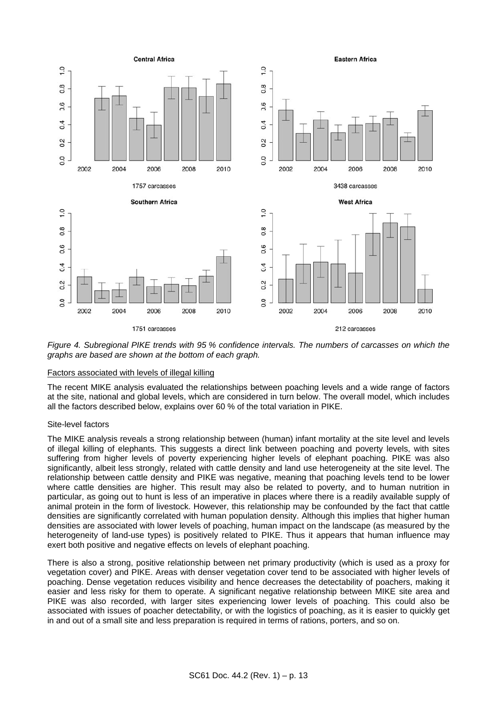

<span id="page-10-0"></span>*Figure 4. Subregional PIKE trends with 95 % confidence intervals. The numbers of carcasses on which the graphs are based are shown at the bottom of each graph.* 

### Factors associated with levels of illegal killing

The recent MIKE analysis evaluated the relationships between poaching levels and a wide range of factors at the site, national and global levels, which are considered in turn below. The overall model, which includes all the factors described below, explains over 60 % of the total variation in PIKE.

### Site-level factors

The MIKE analysis reveals a strong relationship between (human) infant mortality at the site level and levels of illegal killing of elephants. This suggests a direct link between poaching and poverty levels, with sites suffering from higher levels of poverty experiencing higher levels of elephant poaching. PIKE was also significantly, albeit less strongly, related with cattle density and land use heterogeneity at the site level. The relationship between cattle density and PIKE was negative, meaning that poaching levels tend to be lower where cattle densities are higher. This result may also be related to poverty, and to human nutrition in particular, as going out to hunt is less of an imperative in places where there is a readily available supply of animal protein in the form of livestock. However, this relationship may be confounded by the fact that cattle densities are significantly correlated with human population density. Although this implies that higher human densities are associated with lower levels of poaching, human impact on the landscape (as measured by the heterogeneity of land-use types) is positively related to PIKE. Thus it appears that human influence may exert both positive and negative effects on levels of elephant poaching.

There is also a strong, positive relationship between net primary productivity (which is used as a proxy for vegetation cover) and PIKE. Areas with denser vegetation cover tend to be associated with higher levels of poaching. Dense vegetation reduces visibility and hence decreases the detectability of poachers, making it easier and less risky for them to operate. A significant negative relationship between MIKE site area and PIKE was also recorded, with larger sites experiencing lower levels of poaching. This could also be associated with issues of poacher detectability, or with the logistics of poaching, as it is easier to quickly get in and out of a small site and less preparation is required in terms of rations, porters, and so on.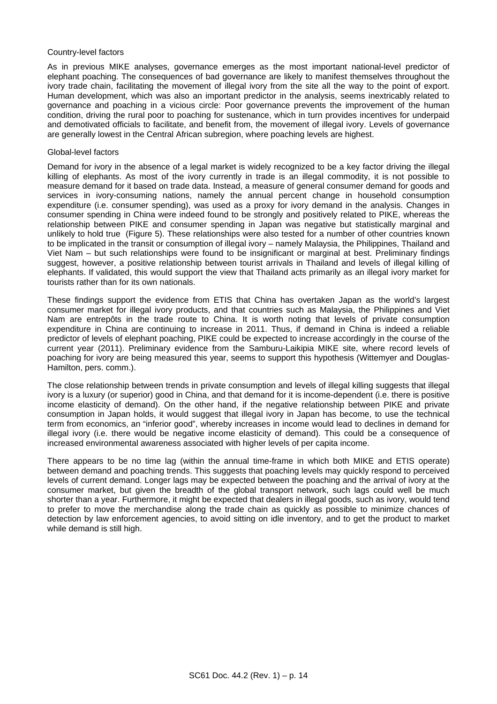#### Country-level factors

As in previous MIKE analyses, governance emerges as the most important national-level predictor of elephant poaching. The consequences of bad governance are likely to manifest themselves throughout the ivory trade chain, facilitating the movement of illegal ivory from the site all the way to the point of export. Human development, which was also an important predictor in the analysis, seems inextricably related to governance and poaching in a vicious circle: Poor governance prevents the improvement of the human condition, driving the rural poor to poaching for sustenance, which in turn provides incentives for underpaid and demotivated officials to facilitate, and benefit from, the movement of illegal ivory. Levels of governance are generally lowest in the Central African subregion, where poaching levels are highest.

#### Global-level factors

Demand for ivory in the absence of a legal market is widely recognized to be a key factor driving the illegal killing of elephants. As most of the ivory currently in trade is an illegal commodity, it is not possible to measure demand for it based on trade data. Instead, a measure of general consumer demand for goods and services in ivory-consuming nations, namely the annual percent change in household consumption expenditure (i.e. consumer spending), was used as a proxy for ivory demand in the analysis. Changes in consumer spending in China were indeed found to be strongly and positively related to PIKE, whereas the relationship between PIKE and consumer spending in Japan was negative but statistically marginal and unlikely to hold true ([Figure 5\)](#page-12-0). These relationships were also tested for a number of other countries known to be implicated in the transit or consumption of illegal ivory – namely Malaysia, the Philippines, Thailand and Viet Nam – but such relationships were found to be insignificant or marginal at best. Preliminary findings suggest, however, a positive relationship between tourist arrivals in Thailand and levels of illegal killing of elephants. If validated, this would support the view that Thailand acts primarily as an illegal ivory market for tourists rather than for its own nationals.

These findings support the evidence from ETIS that China has overtaken Japan as the world's largest consumer market for illegal ivory products, and that countries such as Malaysia, the Philippines and Viet Nam are entrepôts in the trade route to China. It is worth noting that levels of private consumption expenditure in China are continuing to increase in 2011. Thus, if demand in China is indeed a reliable predictor of levels of elephant poaching, PIKE could be expected to increase accordingly in the course of the current year (2011). Preliminary evidence from the Samburu-Laikipia MIKE site, where record levels of poaching for ivory are being measured this year, seems to support this hypothesis (Wittemyer and Douglas-Hamilton, pers. comm.).

The close relationship between trends in private consumption and levels of illegal killing suggests that illegal ivory is a luxury (or superior) good in China, and that demand for it is income-dependent (i.e. there is positive income elasticity of demand). On the other hand, if the negative relationship between PIKE and private consumption in Japan holds, it would suggest that illegal ivory in Japan has become, to use the technical term from economics, an "inferior good", whereby increases in income would lead to declines in demand for illegal ivory (i.e. there would be negative income elasticity of demand). This could be a consequence of increased environmental awareness associated with higher levels of per capita income.

There appears to be no time lag (within the annual time-frame in which both MIKE and ETIS operate) between demand and poaching trends. This suggests that poaching levels may quickly respond to perceived levels of current demand. Longer lags may be expected between the poaching and the arrival of ivory at the consumer market, but given the breadth of the global transport network, such lags could well be much shorter than a year. Furthermore, it might be expected that dealers in illegal goods, such as ivory, would tend to prefer to move the merchandise along the trade chain as quickly as possible to minimize chances of detection by law enforcement agencies, to avoid sitting on idle inventory, and to get the product to market while demand is still high.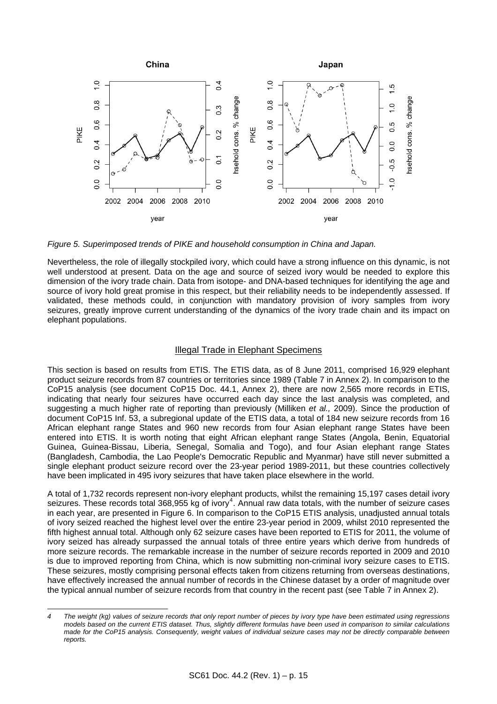

<span id="page-12-0"></span>*Figure 5. Superimposed trends of PIKE and household consumption in China and Japan.* 

Nevertheless, the role of illegally stockpiled ivory, which could have a strong influence on this dynamic, is not well understood at present. Data on the age and source of seized ivory would be needed to explore this dimension of the ivory trade chain. Data from isotope- and DNA-based techniques for identifying the age and source of ivory hold great promise in this respect, but their reliability needs to be independently assessed. If validated, these methods could, in conjunction with mandatory provision of ivory samples from ivory seizures, greatly improve current understanding of the dynamics of the ivory trade chain and its impact on elephant populations.

### Illegal Trade in Elephant Specimens

This section is based on results from ETIS. The ETIS data, as of 8 June 2011, comprised 16,929 elephant product seizure records from 87 countries or territories since 1989 (Table 7 in Annex 2). In comparison to the CoP15 analysis (see document [CoP15 Doc. 44.1, Annex 2](http://www.cites.org/common/cop/15/doc/E15-44-01A.pdf)), there are now 2,565 more records in ETIS, indicating that nearly four seizures have occurred each day since the last analysis was completed, and suggesting a much higher rate of reporting than previously (Milliken *et al.,* 2009). Since the production of document [CoP15 Inf. 53](http://www.cites.org/common/cop/15/inf/E15i-53.pdf), a subregional update of the ETIS data, a total of 184 new seizure records from 16 African elephant range States and 960 new records from four Asian elephant range States have been entered into ETIS. It is worth noting that eight African elephant range States (Angola, Benin, Equatorial Guinea, Guinea-Bissau, Liberia, Senegal, Somalia and Togo), and four Asian elephant range States (Bangladesh, Cambodia, the Lao People's Democratic Republic and Myanmar) have still never submitted a single elephant product seizure record over the 23-year period 1989-2011, but these countries collectively have been implicated in 495 ivory seizures that have taken place elsewhere in the world.

A total of 1,732 records represent non-ivory elephant products, whilst the remaining 15,197 cases detail ivory seizures. These records total 368,955 kg of ivory<sup>[4](#page-12-1)</sup>. Annual raw data totals, with the number of seizure cases in each year, are presented in [Figure 6.](#page-13-0) In comparison to the CoP15 ETIS analysis, unadjusted annual totals of ivory seized reached the highest level over the entire 23-year period in 2009, whilst 2010 represented the fifth highest annual total. Although only 62 seizure cases have been reported to ETIS for 2011, the volume of ivory seized has already surpassed the annual totals of three entire years which derive from hundreds of more seizure records. The remarkable increase in the number of seizure records reported in 2009 and 2010 is due to improved reporting from China, which is now submitting non-criminal ivory seizure cases to ETIS. These seizures, mostly comprising personal effects taken from citizens returning from overseas destinations, have effectively increased the annual number of records in the Chinese dataset by a order of magnitude over the typical annual number of seizure records from that country in the recent past (see Table 7 in Annex 2).

l

<span id="page-12-1"></span>*<sup>4</sup> The weight (kg) values of seizure records that only report number of pieces by ivory type have been estimated using regressions models based on the current ETIS dataset. Thus, slightly different formulas have been used in comparison to similar calculations made for the CoP15 analysis. Consequently, weight values of individual seizure cases may not be directly comparable between reports.*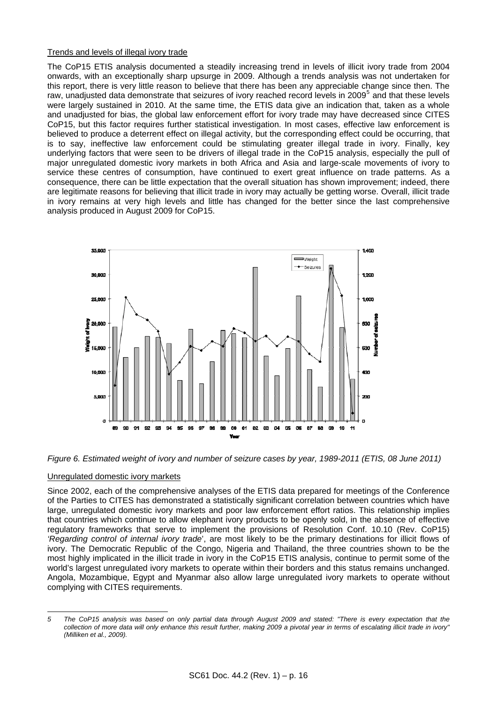### Trends and levels of illegal ivory trade

The CoP15 ETIS analysis documented a steadily increasing trend in levels of illicit ivory trade from 2004 onwards, with an exceptionally sharp upsurge in 2009. Although a trends analysis was not undertaken for this report, there is very little reason to believe that there has been any appreciable change since then. The raw, unadjusted data demonstrate that seizures of ivory reached record levels in 2009<sup>[5](#page-13-1)</sup> and that these levels were largely sustained in 2010. At the same time, the ETIS data give an indication that, taken as a whole and unadjusted for bias, the global law enforcement effort for ivory trade may have decreased since CITES CoP15, but this factor requires further statistical investigation. In most cases, effective law enforcement is believed to produce a deterrent effect on illegal activity, but the corresponding effect could be occurring, that is to say, ineffective law enforcement could be stimulating greater illegal trade in ivory. Finally, key underlying factors that were seen to be drivers of illegal trade in the CoP15 analysis, especially the pull of major unregulated domestic ivory markets in both Africa and Asia and large-scale movements of ivory to service these centres of consumption, have continued to exert great influence on trade patterns. As a consequence, there can be little expectation that the overall situation has shown improvement; indeed, there are legitimate reasons for believing that illicit trade in ivory may actually be getting worse. Overall, illicit trade in ivory remains at very high levels and little has changed for the better since the last comprehensive analysis produced in August 2009 for CoP15.



<span id="page-13-0"></span>

### Unregulated domestic ivory markets

Since 2002, each of the comprehensive analyses of the ETIS data prepared for meetings of the Conference of the Parties to CITES has demonstrated a statistically significant correlation between countries which have large, unregulated domestic ivory markets and poor law enforcement effort ratios. This relationship implies that countries which continue to allow elephant ivory products to be openly sold, in the absence of effective regulatory frameworks that serve to implement the provisions of Resolution Conf. 10.10 (Rev. CoP15) *'Regarding control of internal ivory trade*', are most likely to be the primary destinations for illicit flows of ivory. The Democratic Republic of the Congo, Nigeria and Thailand, the three countries shown to be the most highly implicated in the illicit trade in ivory in the CoP15 ETIS analysis, continue to permit some of the world's largest unregulated ivory markets to operate within their borders and this status remains unchanged. Angola, Mozambique, Egypt and Myanmar also allow large unregulated ivory markets to operate without complying with CITES requirements.

<span id="page-13-1"></span>l *5 The CoP15 analysis was based on only partial data through August 2009 and stated: "There is every expectation that the collection of more data will only enhance this result further, making 2009 a pivotal year in terms of escalating illicit trade in ivory" (Milliken et al., 2009).*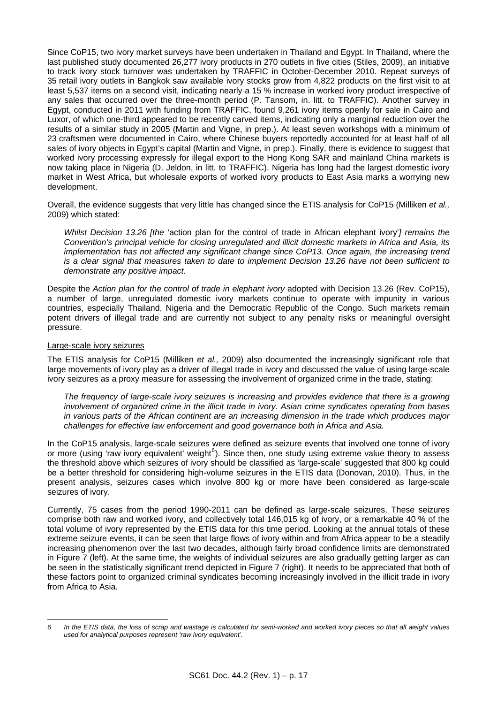Since CoP15, two ivory market surveys have been undertaken in Thailand and Egypt. In Thailand, where the last published study documented 26,277 ivory products in 270 outlets in five cities (Stiles, 2009), an initiative to track ivory stock turnover was undertaken by TRAFFIC in October-December 2010. Repeat surveys of 35 retail ivory outlets in Bangkok saw available ivory stocks grow from 4,822 products on the first visit to at least 5,537 items on a second visit, indicating nearly a 15 % increase in worked ivory product irrespective of any sales that occurred over the three-month period (P. Tansom, in. litt. to TRAFFIC). Another survey in Egypt, conducted in 2011 with funding from TRAFFIC, found 9,261 ivory items openly for sale in Cairo and Luxor, of which one-third appeared to be recently carved items, indicating only a marginal reduction over the results of a similar study in 2005 (Martin and Vigne, in prep.). At least seven workshops with a minimum of 23 craftsmen were documented in Cairo, where Chinese buyers reportedly accounted for at least half of all sales of ivory objects in Egypt's capital (Martin and Vigne, in prep.). Finally, there is evidence to suggest that worked ivory processing expressly for illegal export to the Hong Kong SAR and mainland China markets is now taking place in Nigeria (D. Jeldon, in litt. to TRAFFIC). Nigeria has long had the largest domestic ivory market in West Africa, but wholesale exports of worked ivory products to East Asia marks a worrying new development.

Overall, the evidence suggests that very little has changed since the ETIS analysis for CoP15 (Milliken *et al.,* 2009) which stated:

 *Whilst Decision 13.26 [the* 'action plan for the control of trade in African elephant ivory'*] remains the Convention's principal vehicle for closing unregulated and illicit domestic markets in Africa and Asia, its implementation has not affected any significant change since CoP13. Once again, the increasing trend is a clear signal that measures taken to date to implement Decision 13.26 have not been sufficient to demonstrate any positive impact.* 

Despite the *Action plan for the control of trade in elephant ivory* adopted with Decision 13.26 (Rev. CoP15), a number of large, unregulated domestic ivory markets continue to operate with impunity in various countries, especially Thailand, Nigeria and the Democratic Republic of the Congo. Such markets remain potent drivers of illegal trade and are currently not subject to any penalty risks or meaningful oversight pressure.

### Large-scale ivory seizures

The ETIS analysis for CoP15 (Milliken *et al.,* 2009) also documented the increasingly significant role that large movements of ivory play as a driver of illegal trade in ivory and discussed the value of using large-scale ivory seizures as a proxy measure for assessing the involvement of organized crime in the trade, stating:

 *The frequency of large-scale ivory seizures is increasing and provides evidence that there is a growing involvement of organized crime in the illicit trade in ivory. Asian crime syndicates operating from bases in various parts of the African continent are an increasing dimension in the trade which produces major challenges for effective law enforcement and good governance both in Africa and Asia.*

In the CoP15 analysis, large-scale seizures were defined as seizure events that involved one tonne of ivory or more (using 'raw ivory equivalent' weight<sup>[6](#page-14-0)</sup>). Since then, one study using extreme value theory to assess the threshold above which seizures of ivory should be classified as 'large-scale' suggested that 800 kg could be a better threshold for considering high-volume seizures in the ETIS data (Donovan, 2010). Thus, in the present analysis, seizures cases which involve 800 kg or more have been considered as large-scale seizures of ivory.

Currently, 75 cases from the period 1990-2011 can be defined as large-scale seizures. These seizures comprise both raw and worked ivory, and collectively total 146,015 kg of ivory, or a remarkable 40 % of the total volume of ivory represented by the ETIS data for this time period. Looking at the annual totals of these extreme seizure events, it can be seen that large flows of ivory within and from Africa appear to be a steadily increasing phenomenon over the last two decades, although fairly broad confidence limits are demonstrated in [Figure 7](#page-15-0) (left). At the same time, the weights of individual seizures are also gradually getting larger as can be seen in the statistically significant trend depicted in [Figure 7](#page-15-0) (right). It needs to be appreciated that both of these factors point to organized criminal syndicates becoming increasingly involved in the illicit trade in ivory from Africa to Asia.

<span id="page-14-0"></span>l *6 In the ETIS data, the loss of scrap and wastage is calculated for semi-worked and worked ivory pieces so that all weight values used for analytical purposes represent 'raw ivory equivalent'.*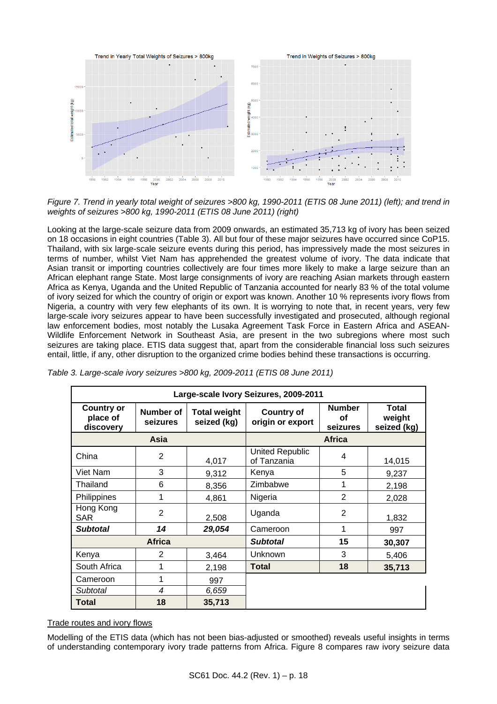

<span id="page-15-0"></span>*Figure 7. Trend in yearly total weight of seizures >800 kg, 1990-2011 (ETIS 08 June 2011) (left); and trend in weights of seizures >800 kg, 1990-2011 (ETIS 08 June 2011) (right)* 

Looking at the large-scale seizure data from 2009 onwards, an estimated 35,713 kg of ivory has been seized on 18 occasions in eight countries ([Table 3\)](#page-15-1). All but four of these major seizures have occurred since CoP15. Thailand, with six large-scale seizure events during this period, has impressively made the most seizures in terms of number, whilst Viet Nam has apprehended the greatest volume of ivory. The data indicate that Asian transit or importing countries collectively are four times more likely to make a large seizure than an African elephant range State. Most large consignments of ivory are reaching Asian markets through eastern Africa as Kenya, Uganda and the United Republic of Tanzania accounted for nearly 83 % of the total volume of ivory seized for which the country of origin or export was known. Another 10 % represents ivory flows from Nigeria, a country with very few elephants of its own. It is worrying to note that, in recent years, very few large-scale ivory seizures appear to have been successfully investigated and prosecuted, although regional law enforcement bodies, most notably the Lusaka Agreement Task Force in Eastern Africa and ASEAN-Wildlife Enforcement Network in Southeast Asia, are present in the two subregions where most such seizures are taking place. ETIS data suggest that, apart from the considerable financial loss such seizures entail, little, if any, other disruption to the organized crime bodies behind these transactions is occurring.

| Large-scale Ivory Seizures, 2009-2011      |                       |                                    |                                       |                                 |                                |  |
|--------------------------------------------|-----------------------|------------------------------------|---------------------------------------|---------------------------------|--------------------------------|--|
| <b>Country or</b><br>place of<br>discovery | Number of<br>seizures | <b>Total weight</b><br>seized (kg) | <b>Country of</b><br>origin or export | <b>Number</b><br>οf<br>seizures | Total<br>weight<br>seized (kg) |  |
| Asia                                       |                       |                                    | <b>Africa</b>                         |                                 |                                |  |
| China                                      | 2                     | 4,017                              | <b>United Republic</b><br>of Tanzania | 4                               | 14,015                         |  |
| Viet Nam                                   | 3                     | 9,312                              | Kenya                                 | 5                               | 9,237                          |  |
| Thailand                                   | 6                     | 8,356                              | Zimbabwe                              | 1                               | 2,198                          |  |
| Philippines                                | 1                     | 4,861                              | Nigeria                               | $\overline{2}$                  | 2,028                          |  |
| Hong Kong<br><b>SAR</b>                    | $\overline{2}$        | 2,508                              | Uganda                                | $\overline{2}$                  | 1,832                          |  |
| <b>Subtotal</b>                            | 14                    | 29,054                             | Cameroon                              | 1                               | 997                            |  |
| <b>Africa</b>                              |                       |                                    | <b>Subtotal</b>                       | 15                              | 30,307                         |  |
| Kenya                                      | 2                     | 3,464                              | Unknown                               | 3                               | 5,406                          |  |
| South Africa                               | 1                     | 2,198                              | <b>Total</b>                          | 18                              | 35,713                         |  |
| Cameroon                                   | 1                     | 997                                |                                       |                                 |                                |  |
| Subtotal                                   | $\overline{4}$        | 6,659                              |                                       |                                 |                                |  |
| Total                                      | 18                    | 35,713                             |                                       |                                 |                                |  |

<span id="page-15-1"></span>

| Table 3. Large-scale ivory seizures >800 kg, 2009-2011 (ETIS 08 June 2011) |  |  |
|----------------------------------------------------------------------------|--|--|

## Trade routes and ivory flows

Modelling of the ETIS data (which has not been bias-adjusted or smoothed) reveals useful insights in terms of understanding contemporary ivory trade patterns from Africa. [Figure 8](#page-16-0) compares raw ivory seizure data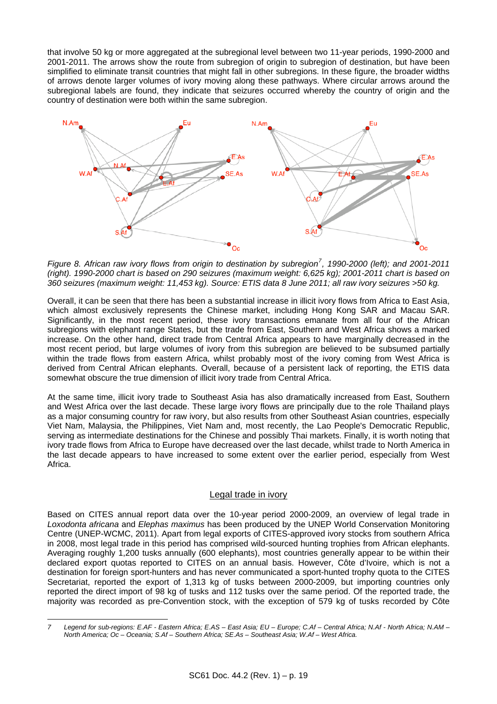that involve 50 kg or more aggregated at the subregional level between two 11-year periods, 1990-2000 and 2001-2011. The arrows show the route from subregion of origin to subregion of destination, but have been simplified to eliminate transit countries that might fall in other subregions. In these figure, the broader widths of arrows denote larger volumes of ivory moving along these pathways. Where circular arrows around the subregional labels are found, they indicate that seizures occurred whereby the country of origin and the country of destination were both within the same subregion.



<span id="page-16-0"></span>*Figure 8. African raw ivory flows from origin to destination by subregion[7](#page-16-1) , 1990-2000 (left); and 2001-2011 (right). 1990-2000 chart is based on 290 seizures (maximum weight: 6,625 kg); 2001-2011 chart is based on 360 seizures (maximum weight: 11,453 kg). Source: ETIS data 8 June 2011; all raw ivory seizures >50 kg.* 

Overall, it can be seen that there has been a substantial increase in illicit ivory flows from Africa to East Asia, which almost exclusively represents the Chinese market, including Hong Kong SAR and Macau SAR. Significantly, in the most recent period, these ivory transactions emanate from all four of the African subregions with elephant range States, but the trade from East, Southern and West Africa shows a marked increase. On the other hand, direct trade from Central Africa appears to have marginally decreased in the most recent period, but large volumes of ivory from this subregion are believed to be subsumed partially within the trade flows from eastern Africa, whilst probably most of the ivory coming from West Africa is derived from Central African elephants. Overall, because of a persistent lack of reporting, the ETIS data somewhat obscure the true dimension of illicit ivory trade from Central Africa.

At the same time, illicit ivory trade to Southeast Asia has also dramatically increased from East, Southern and West Africa over the last decade. These large ivory flows are principally due to the role Thailand plays as a major consuming country for raw ivory, but also results from other Southeast Asian countries, especially Viet Nam, Malaysia, the Philippines, Viet Nam and, most recently, the Lao People's Democratic Republic, serving as intermediate destinations for the Chinese and possibly Thai markets. Finally, it is worth noting that ivory trade flows from Africa to Europe have decreased over the last decade, whilst trade to North America in the last decade appears to have increased to some extent over the earlier period, especially from West Africa.

## Legal trade in ivory

Based on CITES annual report data over the 10-year period 2000-2009, an overview of legal trade in *Loxodonta africana* and *Elephas maximus* has been produced by the UNEP World Conservation Monitoring Centre (UNEP-WCMC, 2011). Apart from legal exports of CITES-approved ivory stocks from southern Africa in 2008, most legal trade in this period has comprised wild-sourced hunting trophies from African elephants. Averaging roughly 1,200 tusks annually (600 elephants), most countries generally appear to be within their declared export quotas reported to CITES on an annual basis. However, Côte d'Ivoire, which is not a destination for foreign sport-hunters and has never communicated a sport-hunted trophy quota to the CITES Secretariat, reported the export of 1,313 kg of tusks between 2000-2009, but importing countries only reported the direct import of 98 kg of tusks and 112 tusks over the same period. Of the reported trade, the majority was recorded as pre-Convention stock, with the exception of 579 kg of tusks recorded by Côte

<span id="page-16-1"></span>l *7 Legend for sub-regions: E.AF - Eastern Africa; E.AS – East Asia; EU – Europe; C.Af – Central Africa; N.Af - North Africa; N.AM – North America; Oc – Oceania; S.Af – Southern Africa; SE.As – Southeast Asia; W.Af – West Africa.*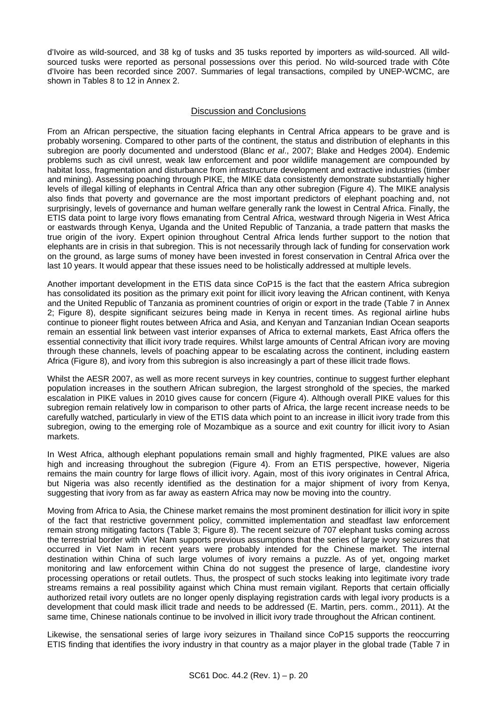d'Ivoire as wild-sourced, and 38 kg of tusks and 35 tusks reported by importers as wild-sourced. All wildsourced tusks were reported as personal possessions over this period. No wild-sourced trade with Côte d'Ivoire has been recorded since 2007. Summaries of legal transactions, compiled by UNEP-WCMC, are shown in Tables 8 to 12 in Annex 2.

## Discussion and Conclusions

From an African perspective, the situation facing elephants in Central Africa appears to be grave and is probably worsening. Compared to other parts of the continent, the status and distribution of elephants in this subregion are poorly documented and understood (Blanc *et al*., 2007; Blake and Hedges 2004). Endemic problems such as civil unrest, weak law enforcement and poor wildlife management are compounded by habitat loss, fragmentation and disturbance from infrastructure development and extractive industries (timber and mining). Assessing poaching through PIKE, the MIKE data consistently demonstrate substantially higher levels of illegal killing of elephants in Central Africa than any other subregion [\(Figure 4\)](#page-10-0). The MIKE analysis also finds that poverty and governance are the most important predictors of elephant poaching and, not surprisingly, levels of governance and human welfare generally rank the lowest in Central Africa. Finally, the ETIS data point to large ivory flows emanating from Central Africa, westward through Nigeria in West Africa or eastwards through Kenya, Uganda and the United Republic of Tanzania, a trade pattern that masks the true origin of the ivory. Expert opinion throughout Central Africa lends further support to the notion that elephants are in crisis in that subregion. This is not necessarily through lack of funding for conservation work on the ground, as large sums of money have been invested in forest conservation in Central Africa over the last 10 years. It would appear that these issues need to be holistically addressed at multiple levels.

Another important development in the ETIS data since CoP15 is the fact that the eastern Africa subregion has consolidated its position as the primary exit point for illicit ivory leaving the African continent, with Kenya and the United Republic of Tanzania as prominent countries of origin or export in the trade (Table 7 in Annex 2; [Figure 8](#page-16-0)), despite significant seizures being made in Kenya in recent times. As regional airline hubs continue to pioneer flight routes between Africa and Asia, and Kenyan and Tanzanian Indian Ocean seaports remain an essential link between vast interior expanses of Africa to external markets, East Africa offers the essential connectivity that illicit ivory trade requires. Whilst large amounts of Central African ivory are moving through these channels, levels of poaching appear to be escalating across the continent, including eastern Africa [\(Figure 8](#page-16-0)), and ivory from this subregion is also increasingly a part of these illicit trade flows.

Whilst the AESR 2007, as well as more recent surveys in key countries, continue to suggest further elephant population increases in the southern African subregion, the largest stronghold of the species, the marked escalation in PIKE values in 2010 gives cause for concern [\(Figure 4\)](#page-10-0). Although overall PIKE values for this subregion remain relatively low in comparison to other parts of Africa, the large recent increase needs to be carefully watched, particularly in view of the ETIS data which point to an increase in illicit ivory trade from this subregion, owing to the emerging role of Mozambique as a source and exit country for illicit ivory to Asian markets.

In West Africa, although elephant populations remain small and highly fragmented, PIKE values are also high and increasing throughout the subregion [\(Figure 4\)](#page-10-0). From an ETIS perspective, however, Nigeria remains the main country for large flows of illicit ivory. Again, most of this ivory originates in Central Africa, but Nigeria was also recently identified as the destination for a major shipment of ivory from Kenya, suggesting that ivory from as far away as eastern Africa may now be moving into the country.

Moving from Africa to Asia, the Chinese market remains the most prominent destination for illicit ivory in spite of the fact that restrictive government policy, committed implementation and steadfast law enforcement remain strong mitigating factors [\(Table 3;](#page-15-1) [Figure 8\)](#page-16-0). The recent seizure of 707 elephant tusks coming across the terrestrial border with Viet Nam supports previous assumptions that the series of large ivory seizures that occurred in Viet Nam in recent years were probably intended for the Chinese market. The internal destination within China of such large volumes of ivory remains a puzzle. As of yet, ongoing market monitoring and law enforcement within China do not suggest the presence of large, clandestine ivory processing operations or retail outlets. Thus, the prospect of such stocks leaking into legitimate ivory trade streams remains a real possibility against which China must remain vigilant. Reports that certain officially authorized retail ivory outlets are no longer openly displaying registration cards with legal ivory products is a development that could mask illicit trade and needs to be addressed (E. Martin, pers. comm., 2011). At the same time, Chinese nationals continue to be involved in illicit ivory trade throughout the African continent.

Likewise, the sensational series of large ivory seizures in Thailand since CoP15 supports the reoccurring ETIS finding that identifies the ivory industry in that country as a major player in the global trade (Table 7 in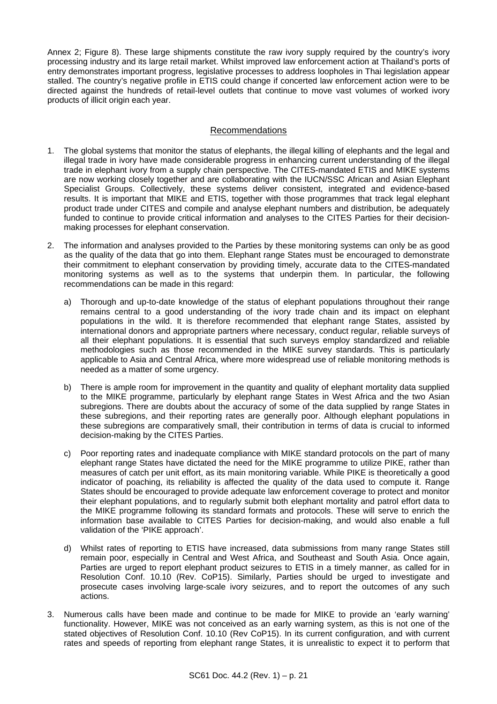Annex 2: [Figure 8](#page-16-0)). These large shipments constitute the raw ivory supply required by the country's ivory processing industry and its large retail market. Whilst improved law enforcement action at Thailand's ports of entry demonstrates important progress, legislative processes to address loopholes in Thai legislation appear stalled. The country's negative profile in ETIS could change if concerted law enforcement action were to be directed against the hundreds of retail-level outlets that continue to move vast volumes of worked ivory products of illicit origin each year.

## Recommendations

- 1. The global systems that monitor the status of elephants, the illegal killing of elephants and the legal and illegal trade in ivory have made considerable progress in enhancing current understanding of the illegal trade in elephant ivory from a supply chain perspective. The CITES-mandated ETIS and MIKE systems are now working closely together and are collaborating with the IUCN/SSC African and Asian Elephant Specialist Groups. Collectively, these systems deliver consistent, integrated and evidence-based results. It is important that MIKE and ETIS, together with those programmes that track legal elephant product trade under CITES and compile and analyse elephant numbers and distribution, be adequately funded to continue to provide critical information and analyses to the CITES Parties for their decisionmaking processes for elephant conservation.
- 2. The information and analyses provided to the Parties by these monitoring systems can only be as good as the quality of the data that go into them. Elephant range States must be encouraged to demonstrate their commitment to elephant conservation by providing timely, accurate data to the CITES-mandated monitoring systems as well as to the systems that underpin them. In particular, the following recommendations can be made in this regard:
	- a) Thorough and up-to-date knowledge of the status of elephant populations throughout their range remains central to a good understanding of the ivory trade chain and its impact on elephant populations in the wild. It is therefore recommended that elephant range States, assisted by international donors and appropriate partners where necessary, conduct regular, reliable surveys of all their elephant populations. It is essential that such surveys employ standardized and reliable methodologies such as those recommended in the MIKE survey standards. This is particularly applicable to Asia and Central Africa, where more widespread use of reliable monitoring methods is needed as a matter of some urgency.
	- b) There is ample room for improvement in the quantity and quality of elephant mortality data supplied to the MIKE programme, particularly by elephant range States in West Africa and the two Asian subregions. There are doubts about the accuracy of some of the data supplied by range States in these subregions, and their reporting rates are generally poor. Although elephant populations in these subregions are comparatively small, their contribution in terms of data is crucial to informed decision-making by the CITES Parties.
	- c) Poor reporting rates and inadequate compliance with MIKE standard protocols on the part of many elephant range States have dictated the need for the MIKE programme to utilize PIKE, rather than measures of catch per unit effort, as its main monitoring variable. While PIKE is theoretically a good indicator of poaching, its reliability is affected the quality of the data used to compute it. Range States should be encouraged to provide adequate law enforcement coverage to protect and monitor their elephant populations, and to regularly submit both elephant mortality and patrol effort data to the MIKE programme following its standard formats and protocols. These will serve to enrich the information base available to CITES Parties for decision-making, and would also enable a full validation of the 'PIKE approach'.
	- d) Whilst rates of reporting to ETIS have increased, data submissions from many range States still remain poor, especially in Central and West Africa, and Southeast and South Asia. Once again, Parties are urged to report elephant product seizures to ETIS in a timely manner, as called for in Resolution Conf. 10.10 (Rev. CoP15). Similarly, Parties should be urged to investigate and prosecute cases involving large-scale ivory seizures, and to report the outcomes of any such actions.
- 3. Numerous calls have been made and continue to be made for MIKE to provide an 'early warning' functionality. However, MIKE was not conceived as an early warning system, as this is not one of the stated objectives of Resolution Conf. 10.10 (Rev CoP15). In its current configuration, and with current rates and speeds of reporting from elephant range States, it is unrealistic to expect it to perform that